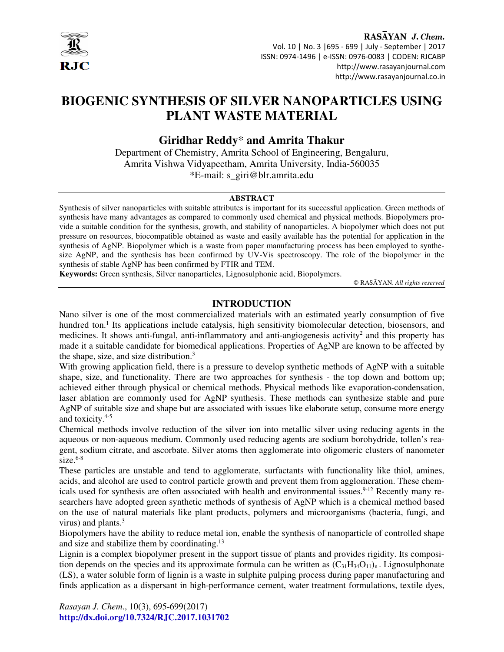

#### RASAYAN J. Chem. Vol. 10 | No. 3 |695 - 699 | July - September | 2017 ISSN: 0974-1496 | e-ISSN: 0976-0083 | CODEN: RJCABP http://www.rasayanjournal.com http://www.rasayanjournal.co.in

# **BIOGENIC SYNTHESIS OF SILVER NANOPARTICLES USING PLANT WASTE MATERIAL**

# **Giridhar Reddy**\* **and Amrita Thakur**

Department of Chemistry, Amrita School of Engineering, Bengaluru, Amrita Vishwa Vidyapeetham, Amrita University, India-560035 \*E-mail: s\_giri@blr.amrita.edu

#### **ABSTRACT**

Synthesis of silver nanoparticles with suitable attributes is important for its successful application. Green methods of synthesis have many advantages as compared to commonly used chemical and physical methods. Biopolymers provide a suitable condition for the synthesis, growth, and stability of nanoparticles. A biopolymer which does not put pressure on resources, biocompatible obtained as waste and easily available has the potential for application in the synthesis of AgNP. Biopolymer which is a waste from paper manufacturing process has been employed to synthesize AgNP, and the synthesis has been confirmed by UV-Vis spectroscopy. The role of the biopolymer in the synthesis of stable AgNP has been confirmed by FTIR and TEM.

**Keywords:** Green synthesis, Silver nanoparticles, Lignosulphonic acid, Biopolymers.

© RASĀYAN. *All rights reserved*

# **INTRODUCTION**

Nano silver is one of the most commercialized materials with an estimated yearly consumption of five hundred ton.<sup>1</sup> Its applications include catalysis, high sensitivity biomolecular detection, biosensors, and medicines. It shows anti-fungal, anti-inflammatory and anti-angiogenesis activity<sup>2</sup> and this property has made it a suitable candidate for biomedical applications. Properties of AgNP are known to be affected by the shape, size, and size distribution.<sup>3</sup>

With growing application field, there is a pressure to develop synthetic methods of AgNP with a suitable shape, size, and functionality. There are two approaches for synthesis - the top down and bottom up; achieved either through physical or chemical methods. Physical methods like evaporation-condensation, laser ablation are commonly used for AgNP synthesis. These methods can synthesize stable and pure AgNP of suitable size and shape but are associated with issues like elaborate setup, consume more energy and toxicity.4-5

Chemical methods involve reduction of the silver ion into metallic silver using reducing agents in the aqueous or non-aqueous medium. Commonly used reducing agents are sodium borohydride, tollen's reagent, sodium citrate, and ascorbate. Silver atoms then agglomerate into oligomeric clusters of nanometer  $size.<sup>6-8</sup>$ 

These particles are unstable and tend to agglomerate, surfactants with functionality like thiol, amines, acids, and alcohol are used to control particle growth and prevent them from agglomeration. These chemicals used for synthesis are often associated with health and environmental issues.<sup>9-12</sup> Recently many researchers have adopted green synthetic methods of synthesis of AgNP which is a chemical method based on the use of natural materials like plant products, polymers and microorganisms (bacteria, fungi, and virus) and plants.<sup>3</sup>

Biopolymers have the ability to reduce metal ion, enable the synthesis of nanoparticle of controlled shape and size and stabilize them by coordinating.<sup>13</sup>

Lignin is a complex biopolymer present in the support tissue of plants and provides rigidity. Its composition depends on the species and its approximate formula can be written as  $(C_{31}H_{34}O_{11})_n$ . Lignosulphonate (LS), a water soluble form of lignin is a waste in sulphite pulping process during paper manufacturing and finds application as a dispersant in high-performance cement, water treatment formulations, textile dyes,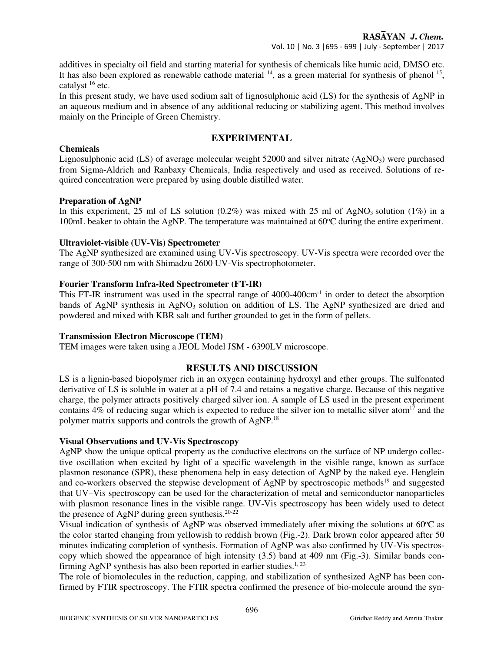additives in specialty oil field and starting material for synthesis of chemicals like humic acid, DMSO etc. It has also been explored as renewable cathode material  $14$ , as a green material for synthesis of phenol  $15$ , catalyst  $16$  etc.

In this present study, we have used sodium salt of lignosulphonic acid (LS) for the synthesis of AgNP in an aqueous medium and in absence of any additional reducing or stabilizing agent. This method involves mainly on the Principle of Green Chemistry.

# **EXPERIMENTAL**

## **Chemicals**

Lignosulphonic acid (LS) of average molecular weight 52000 and silver nitrate  $(AgNO<sub>3</sub>)$  were purchased from Sigma-Aldrich and Ranbaxy Chemicals, India respectively and used as received. Solutions of required concentration were prepared by using double distilled water.

#### **Preparation of AgNP**

In this experiment, 25 ml of LS solution  $(0.2\%)$  was mixed with 25 ml of AgNO<sub>3</sub> solution  $(1\%)$  in a 100mL beaker to obtain the AgNP. The temperature was maintained at  $60^{\circ}$ C during the entire experiment.

#### **Ultraviolet-visible (UV-Vis) Spectrometer**

The AgNP synthesized are examined using UV-Vis spectroscopy. UV-Vis spectra were recorded over the range of 300-500 nm with Shimadzu 2600 UV-Vis spectrophotometer.

#### **Fourier Transform Infra-Red Spectrometer (FT-IR)**

This FT-IR instrument was used in the spectral range of 4000-400cm<sup>-1</sup> in order to detect the absorption bands of AgNP synthesis in  $AgNO<sub>3</sub>$  solution on addition of LS. The AgNP synthesized are dried and powdered and mixed with KBR salt and further grounded to get in the form of pellets.

#### **Transmission Electron Microscope (TEM)**

TEM images were taken using a JEOL Model JSM - 6390LV microscope.

#### **RESULTS AND DISCUSSION**

LS is a lignin-based biopolymer rich in an oxygen containing hydroxyl and ether groups. The sulfonated derivative of LS is soluble in water at a pH of 7.4 and retains a negative charge. Because of this negative charge, the polymer attracts positively charged silver ion. A sample of LS used in the present experiment contains 4% of reducing sugar which is expected to reduce the silver ion to metallic silver atom<sup>17</sup> and the polymer matrix supports and controls the growth of AgNP.<sup>18</sup>

#### **Visual Observations and UV-Vis Spectroscopy**

AgNP show the unique optical property as the conductive electrons on the surface of NP undergo collective oscillation when excited by light of a specific wavelength in the visible range, known as surface plasmon resonance (SPR), these phenomena help in easy detection of AgNP by the naked eye. Henglein and co-workers observed the stepwise development of AgNP by spectroscopic methods<sup>19</sup> and suggested that UV–Vis spectroscopy can be used for the characterization of metal and semiconductor nanoparticles with plasmon resonance lines in the visible range. UV-Vis spectroscopy has been widely used to detect the presence of AgNP during green synthesis.20-22

Visual indication of synthesis of AgNP was observed immediately after mixing the solutions at 60°C as the color started changing from yellowish to reddish brown (Fig.-2). Dark brown color appeared after 50 minutes indicating completion of synthesis. Formation of AgNP was also confirmed by UV-Vis spectroscopy which showed the appearance of high intensity (3.5) band at 409 nm (Fig.-3). Similar bands confirming AgNP synthesis has also been reported in earlier studies.<sup>1, 23</sup>

The role of biomolecules in the reduction, capping, and stabilization of synthesized AgNP has been confirmed by FTIR spectroscopy. The FTIR spectra confirmed the presence of bio-molecule around the syn-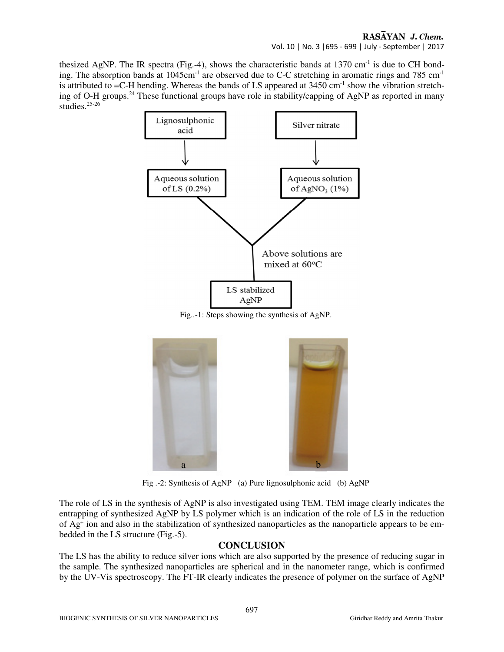### RASAYAN J. Chem. Vol. 10 | No. 3 |695 - 699 | July - September | 2017

thesized AgNP. The IR spectra (Fig.-4), shows the characteristic bands at  $1370 \text{ cm}^{-1}$  is due to CH bonding. The absorption bands at 1045cm<sup>-1</sup> are observed due to C-C stretching in aromatic rings and 785 cm<sup>-1</sup> is attributed to  $=$ C-H bending. Whereas the bands of LS appeared at 3450 cm<sup>-1</sup> show the vibration stretching of O-H groups.<sup>24</sup> These functional groups have role in stability/capping of AgNP as reported in many studies.25-26



Fig..-1: Steps showing the synthesis of AgNP.



Fig .-2: Synthesis of AgNP (a) Pure lignosulphonic acid (b) AgNP

The role of LS in the synthesis of AgNP is also investigated using TEM. TEM image clearly indicates the entrapping of synthesized AgNP by LS polymer which is an indication of the role of LS in the reduction of Ag<sup>+</sup> ion and also in the stabilization of synthesized nanoparticles as the nanoparticle appears to be embedded in the LS structure (Fig.-5).

# **CONCLUSION**

The LS has the ability to reduce silver ions which are also supported by the presence of reducing sugar in the sample. The synthesized nanoparticles are spherical and in the nanometer range, which is confirmed by the UV-Vis spectroscopy. The FT-IR clearly indicates the presence of polymer on the surface of AgNP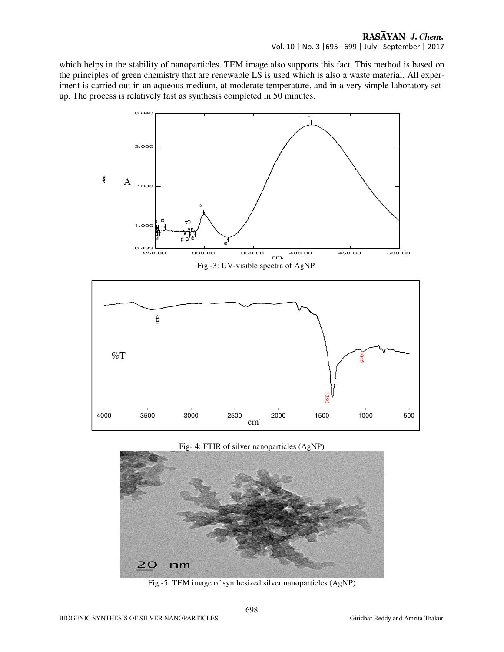which helps in the stability of nanoparticles. TEM image also supports this fact. This method is based on the principles of green chemistry that are renewable LS is used which is also a waste material. All experiment is carried out in an aqueous medium, at moderate temperature, and in a very simple laboratory setup. The process is relatively fast as synthesis completed in 50 minutes.



#### Fig- 4: FTIR of silver nanoparticles (AgNP)



Fig.-5: TEM image of synthesized silver nanoparticles (AgNP)